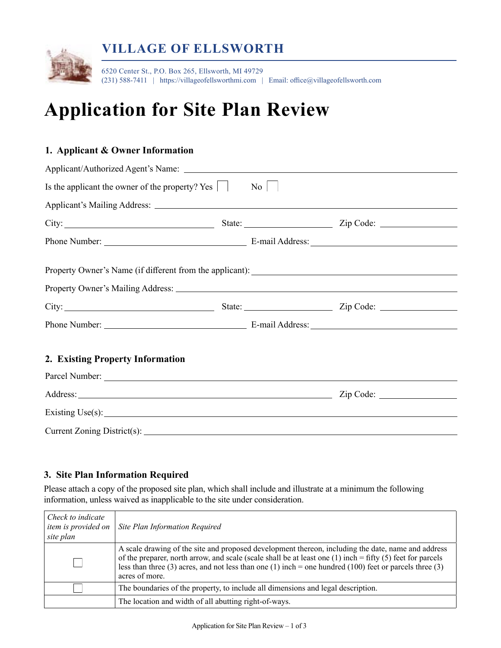

# **Application for Site Plan Review**

### **1. Applicant & Owner Information**

| Is the applicant the owner of the property? Yes                                                                                                                                                                               |  | $\mathrm{No}$ |           |  |  |
|-------------------------------------------------------------------------------------------------------------------------------------------------------------------------------------------------------------------------------|--|---------------|-----------|--|--|
|                                                                                                                                                                                                                               |  |               |           |  |  |
| City: City: City: City: City: City: City: City: City: City: City: City: City: City: City: City: City: City: City: City: City: City: City: City: City: City: City: City: City: City: City: City: City: City: City: City: City: |  |               |           |  |  |
|                                                                                                                                                                                                                               |  |               |           |  |  |
|                                                                                                                                                                                                                               |  |               |           |  |  |
|                                                                                                                                                                                                                               |  |               |           |  |  |
|                                                                                                                                                                                                                               |  |               |           |  |  |
|                                                                                                                                                                                                                               |  |               |           |  |  |
| 2. Existing Property Information                                                                                                                                                                                              |  |               |           |  |  |
|                                                                                                                                                                                                                               |  |               |           |  |  |
|                                                                                                                                                                                                                               |  |               | Zip Code: |  |  |
|                                                                                                                                                                                                                               |  |               |           |  |  |
| Current Zoning District(s): 2008 2012 2022 2023 2024 2022 2023 2024 2022 2023 2024 2022 2023 2024 2022 2023 20                                                                                                                |  |               |           |  |  |

## **3. Site Plan Information Required**

Please attach a copy of the proposed site plan, which shall include and illustrate at a minimum the following information, unless waived as inapplicable to the site under consideration.

| Check to indicate<br>item is provided on<br>site plan | Site Plan Information Required                                                                                                                                                                                                                                                                                                                            |
|-------------------------------------------------------|-----------------------------------------------------------------------------------------------------------------------------------------------------------------------------------------------------------------------------------------------------------------------------------------------------------------------------------------------------------|
|                                                       | A scale drawing of the site and proposed development thereon, including the date, name and address<br>of the preparer, north arrow, and scale (scale shall be at least one $(1)$ inch = fifty $(5)$ feet for parcels<br>less than three $(3)$ acres, and not less than one $(1)$ inch = one hundred $(100)$ feet or parcels three $(3)$<br>acres of more. |
|                                                       | The boundaries of the property, to include all dimensions and legal description.                                                                                                                                                                                                                                                                          |
|                                                       | The location and width of all abutting right-of-ways.                                                                                                                                                                                                                                                                                                     |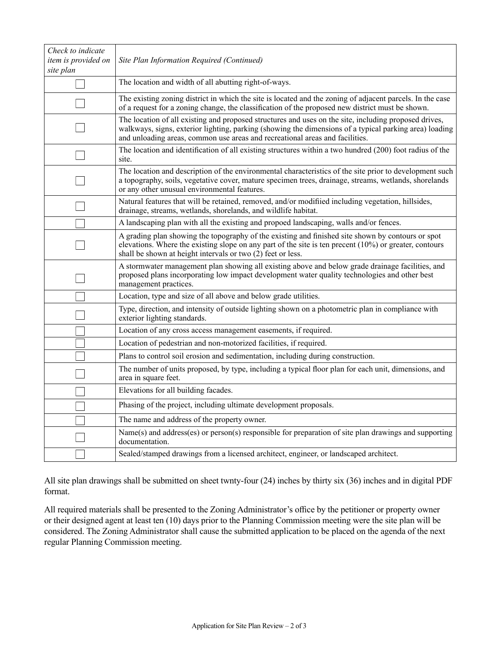| Check to indicate<br>item is provided on<br>site plan | Site Plan Information Required (Continued)                                                                                                                                                                                                                                                      |
|-------------------------------------------------------|-------------------------------------------------------------------------------------------------------------------------------------------------------------------------------------------------------------------------------------------------------------------------------------------------|
|                                                       | The location and width of all abutting right-of-ways.                                                                                                                                                                                                                                           |
|                                                       | The existing zoning district in which the site is located and the zoning of adjacent parcels. In the case<br>of a request for a zoning change, the classification of the proposed new district must be shown.                                                                                   |
|                                                       | The location of all existing and proposed structures and uses on the site, including proposed drives,<br>walkways, signs, exterior lighting, parking (showing the dimensions of a typical parking area) loading<br>and unloading areas, common use areas and recreational areas and facilities. |
|                                                       | The location and identification of all existing structures within a two hundred (200) foot radius of the<br>site.                                                                                                                                                                               |
|                                                       | The location and description of the environmental characteristics of the site prior to development such<br>a topography, soils, vegetative cover, mature specimen trees, drainage, streams, wetlands, shorelands<br>or any other unusual environmental features.                                |
|                                                       | Natural features that will be retained, removed, and/or modifiied including vegetation, hillsides,<br>drainage, streams, wetlands, shorelands, and wildlife habitat.                                                                                                                            |
|                                                       | A landscaping plan with all the existing and propoed landscaping, walls and/or fences.                                                                                                                                                                                                          |
|                                                       | A grading plan showing the topography of the existing and finished site shown by contours or spot<br>elevations. Where the existing slope on any part of the site is ten precent $(10\%)$ or greater, contours<br>shall be shown at height intervals or two (2) feet or less.                   |
|                                                       | A stormwater management plan showing all existing above and below grade drainage facilities, and<br>proposed plans incorporating low impact development water quality technologies and other best<br>management practices.                                                                      |
|                                                       | Location, type and size of all above and below grade utilities.                                                                                                                                                                                                                                 |
|                                                       | Type, direction, and intensity of outside lighting shown on a photometric plan in compliance with<br>exterior lighting standards.                                                                                                                                                               |
|                                                       | Location of any cross access management easements, if required.                                                                                                                                                                                                                                 |
|                                                       | Location of pedestrian and non-motorized facilities, if required.                                                                                                                                                                                                                               |
|                                                       | Plans to control soil erosion and sedimentation, including during construction.                                                                                                                                                                                                                 |
|                                                       | The number of units proposed, by type, including a typical floor plan for each unit, dimensions, and<br>area in square feet.                                                                                                                                                                    |
|                                                       | Elevations for all building facades.                                                                                                                                                                                                                                                            |
|                                                       | Phasing of the project, including ultimate development proposals.                                                                                                                                                                                                                               |
|                                                       | The name and address of the property owner.                                                                                                                                                                                                                                                     |
|                                                       | Name(s) and address(es) or person(s) responsible for preparation of site plan drawings and supporting<br>documentation.                                                                                                                                                                         |
|                                                       | Sealed/stamped drawings from a licensed architect, engineer, or landscaped architect.                                                                                                                                                                                                           |

All site plan drawings shall be submitted on sheet twnty-four (24) inches by thirty six (36) inches and in digital PDF format.

All required materials shall be presented to the Zoning Administrator's office by the petitioner or property owner or their designed agent at least ten (10) days prior to the Planning Commission meeting were the site plan will be considered. The Zoning Administrator shall cause the submitted application to be placed on the agenda of the next regular Planning Commission meeting.